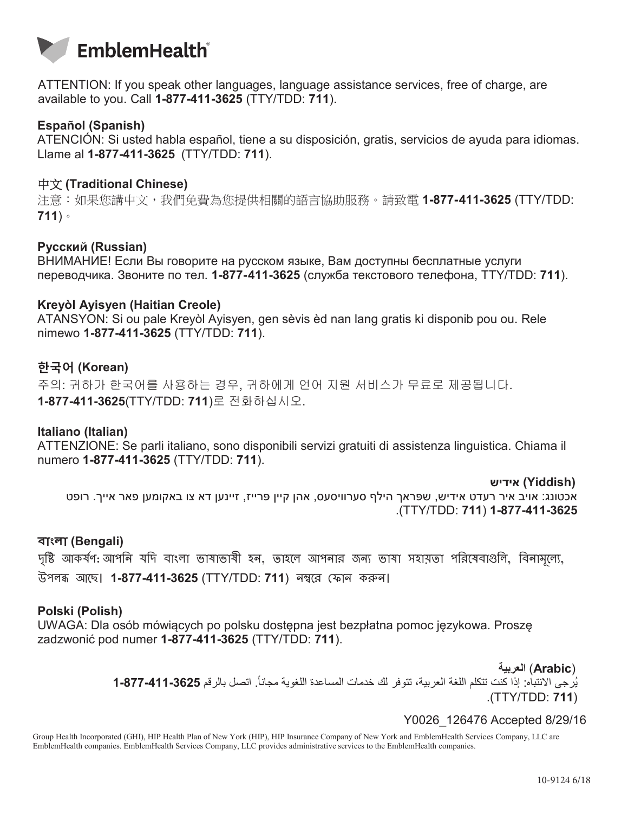

ATTENTION: If you speak other languages, language assistance services, free of charge, are available to you. Call **1-877-411-3625** (TTY/TDD: **711**).

## **Español (Spanish)**

ATENCIÓN: Si usted habla español, tiene a su disposición, gratis, servicios de ayuda para idiomas. Llame al **1-877-411-3625** (TTY/TDD: **711**).

### 中文 **(Traditional Chinese)**

注意:如果您講中文,我們免費為您提供相關的語言協助服務。請致電 **1-877-411-3625** (TTY/TDD: **711**)。

#### **Pусский (Russian)**

ВНИМАНИЕ! Если Вы говорите на русском языке, Вам доступны бесплатные услуги переводчика. Звоните по тел. **1-877-411-3625** (служба текстового телефона, TTY/TDD: **711**).

#### **Kreyòl Ayisyen (Haitian Creole)**

ATANSYON: Si ou pale Kreyòl Ayisyen, gen sèvis èd nan lang gratis ki disponib pou ou. Rele nimewo **1-877-411-3625** (TTY/TDD: **711**).

# **한국어 (Korean)**

주의: 귀하가 한국어를 사용하는 경우, 귀하에게 언어 지원 서비스가 무료로 제공됩니다. **1-877-411-3625**(TTY/TDD: **711**)로 전화하십시오.

#### **Italiano (Italian)**

ATTENZIONE: Se parli italiano, sono disponibili servizi gratuiti di assistenza linguistica. Chiama il numero **1-877-411-3625** (TTY/TDD: **711**).

**(Yiddish (אידיש**

אכטונג׃ אױב איר רעדט אידיש, שּפראך הילף סערװיסעס, אהן קײן ּפרײז, זײנען דא צו באקומען פאר אײך. רופט .)TTY/TDD: **711**( **1-877-411-3625**

#### **বাাংলা (Bengali)**

দৃষ্টি আকর্ষণ: আপনি যদি বাংলা ভাষাভাষী হন, তাহলে আপনার জন্য ভাষা সহায়তা পরিষেবাগুলি, বিনামূল্যে, উপলব্ধ আছে। **1-877-411-3625** (TTY/TDD: **711**) নম্বরে ফোন করুন।

#### **Polski (Polish)**

UWAGA: Dla osób mówiących po polsku dostępna jest bezpłatna pomoc językowa. Proszę zadzwonić pod numer **1-877-411-3625** (TTY/TDD: **711**).

(**Arabic** (**العربية**

ُيرجى االنتباه: إذا كنت تتكلم اللغة العربية، تتوفر لك خدمات المساعدة اللغوية مجانا **1-877-411-3625** .ً اتصل بالرقم .)TTY/TDD: **711**(

# Y0026\_126476 Accepted 8/29/16

Group Health Incorporated (GHI), HIP Health Plan of New York (HIP), HIP Insurance Company of New York and EmblemHealth Services Company, LLC are EmblemHealth companies. EmblemHealth Services Company, LLC provides administrative services to the EmblemHealth companies.